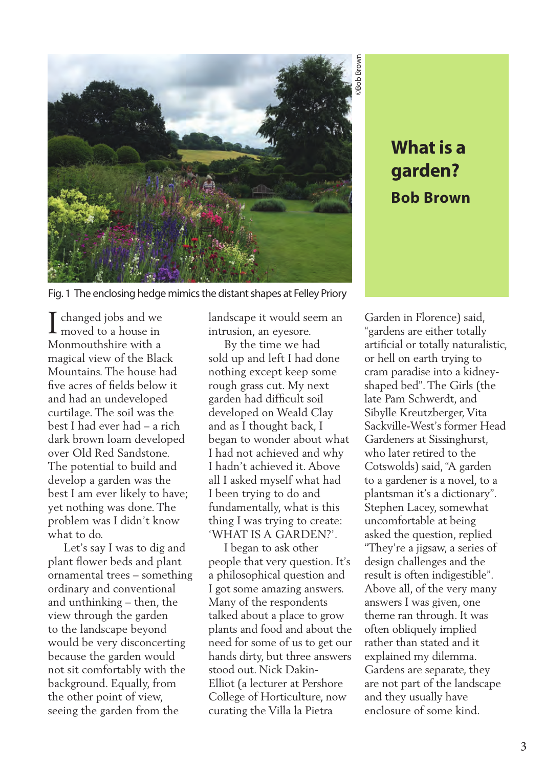

# **garden? Bob Brown**

Fig. 1 The enclosing hedge mimics the distant shapes at Felley Priory

 $\blacksquare$  changed jobs and we  $\prod\limits_{{\scriptsize{\text{moved to a house in}}}}$ Monmouthshire with a magical view of the Black Mountains. The house had five acres of fields below it and had an undeveloped curtilage. The soil was the best I had ever had – a rich dark brown loam developed over Old Red Sandstone. The potential to build and develop a garden was the best I am ever likely to have; yet nothing was done. The problem was I didn't know what to do.

 Let's say I was to dig and plant flower beds and plant ornamental trees – something ordinary and conventional and unthinking – then, the view through the garden to the landscape beyond would be very disconcerting because the garden would not sit comfortably with the background. Equally, from the other point of view, seeing the garden from the

landscape it would seem an intrusion, an eyesore.

 By the time we had sold up and left I had done nothing except keep some rough grass cut. My next garden had difficult soil developed on Weald Clay and as I thought back, I began to wonder about what I had not achieved and why I hadn't achieved it. Above all I asked myself what had I been trying to do and fundamentally, what is this thing I was trying to create: 'WHAT IS A GARDEN?'.

 I began to ask other people that very question. It's a philosophical question and I got some amazing answers. Many of the respondents talked about a place to grow plants and food and about the need for some of us to get our hands dirty, but three answers stood out. Nick Dakin-Elliot (a lecturer at Pershore College of Horticulture, now curating the Villa la Pietra

**What is a**<br> **garden?**<br> **Bob Brown**<br> **Bob Brown**<br> **e**n in Florence) said,<br>
rans are either totally naturalistic,<br>
id Ion earth trying to<br>
paradise into a kidney-<br>
d bed". The Girls (the<br>
am Schwerdt, and<br>
e Kreutzberger, V Garden in Florence) said, "gardens are either totally artificial or totally naturalistic, or hell on earth trying to cram paradise into a kidneyshaped bed". The Girls (the late Pam Schwerdt, and Sibylle Kreutzberger, Vita Sackville-West's former Head Gardeners at Sissinghurst, who later retired to the Cotswolds) said, "A garden to a gardener is a novel, to a plantsman it's a dictionary". Stephen Lacey, somewhat uncomfortable at being asked the question, replied "They're a jigsaw, a series of design challenges and the result is often indigestible". Above all, of the very many answers I was given, one theme ran through. It was often obliquely implied rather than stated and it explained my dilemma. Gardens are separate, they are not part of the landscape and they usually have enclosure of some kind.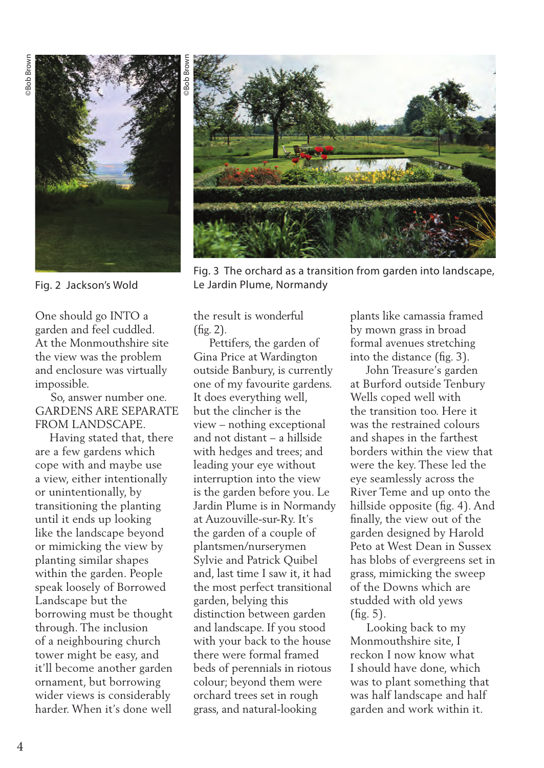

Fig. 2 Jackson's Wold

One should go INTO a garden and feel cuddled. At the Monmouthshire site the view was the problem and enclosure was virtually impossible.

 So, answer number one. GARDENS ARE SEPARATE FROM LANDSCAPE.

 Having stated that, there are a few gardens which cope with and maybe use a view, either intentionally or unintentionally, by transitioning the planting until it ends up looking like the landscape beyond or mimicking the view by planting similar shapes within the garden. People speak loosely of Borrowed Landscape but the borrowing must be thought through. The inclusion of a neighbouring church tower might be easy, and it'll become another garden ornament, but borrowing wider views is considerably harder. When it's done well



Fig. 3 The orchard as a transition from garden into landscape, Le Jardin Plume, Normandy

the result is wonderful (fig. 2).

 Pettifers, the garden of Gina Price at Wardington outside Banbury, is currently one of my favourite gardens. It does everything well, but the clincher is the view – nothing exceptional and not distant – a hillside with hedges and trees; and leading your eye without interruption into the view is the garden before you. Le Jardin Plume is in Normandy at Auzouville-sur-Ry. It's the garden of a couple of plantsmen/nurserymen Sylvie and Patrick Quibel and, last time I saw it, it had the most perfect transitional garden, belying this distinction between garden and landscape. If you stood with your back to the house there were formal framed beds of perennials in riotous colour; beyond them were orchard trees set in rough grass, and natural-looking

plants like camassia framed by mown grass in broad formal avenues stretching into the distance (fig. 3).

 John Treasure's garden at Burford outside Tenbury Wells coped well with the transition too. Here it was the restrained colours and shapes in the farthest borders within the view that were the key. These led the eye seamlessly across the River Teme and up onto the hillside opposite (fig. 4). And finally, the view out of the garden designed by Harold Peto at West Dean in Sussex has blobs of evergreens set in grass, mimicking the sweep of the Downs which are studded with old yews (fig. 5).

 Looking back to my Monmouthshire site, I reckon I now know what I should have done, which was to plant something that was half landscape and half garden and work within it.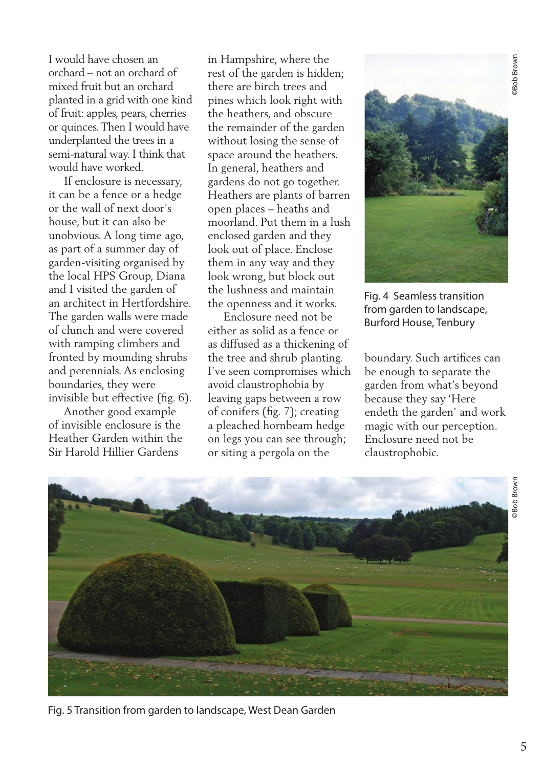I would have chosen an orchard – not an orchard of mixed fruit but an orchard planted in a grid with one kind of fruit: apples, pears, cherries or quinces. Then I would have underplanted the trees in a semi-natural way. I think that would have worked.

 If enclosure is necessary, it can be a fence or a hedge or the wall of next door's house, but it can also be unobvious. A long time ago, as part of a summer day of garden-visiting organised by the local HPS Group, Diana and I visited the garden of an architect in Hertfordshire. The garden walls were made of clunch and were covered with ramping climbers and fronted by mounding shrubs and perennials. As enclosing boundaries, they were invisible but effective (fig. 6).

 Another good example of invisible enclosure is the Heather Garden within the Sir Harold Hillier Gardens

in Hampshire, where the rest of the garden is hidden; there are birch trees and pines which look right with the heathers, and obscure the remainder of the garden without losing the sense of space around the heathers. In general, heathers and gardens do not go together. Heathers are plants of barren open places – heaths and moorland. Put them in a lush enclosed garden and they look out of place. Enclose them in any way and they look wrong, but block out the lushness and maintain the openness and it works.

 Enclosure need not be either as solid as a fence or as diffused as a thickening of the tree and shrub planting. I've seen compromises which avoid claustrophobia by leaving gaps between a row of conifers (fig. 7); creating a pleached hornbeam hedge on legs you can see through; or siting a pergola on the



Fig. 4 Seamless transition from garden to landscape, Burford House, Tenbury

boundary. Such artifices can be enough to separate the garden from what's beyond because they say 'Here endeth the garden' and work magic with our perception. Enclosure need not be claustrophobic.



Fig. 5 Transition from garden to landscape, West Dean Garden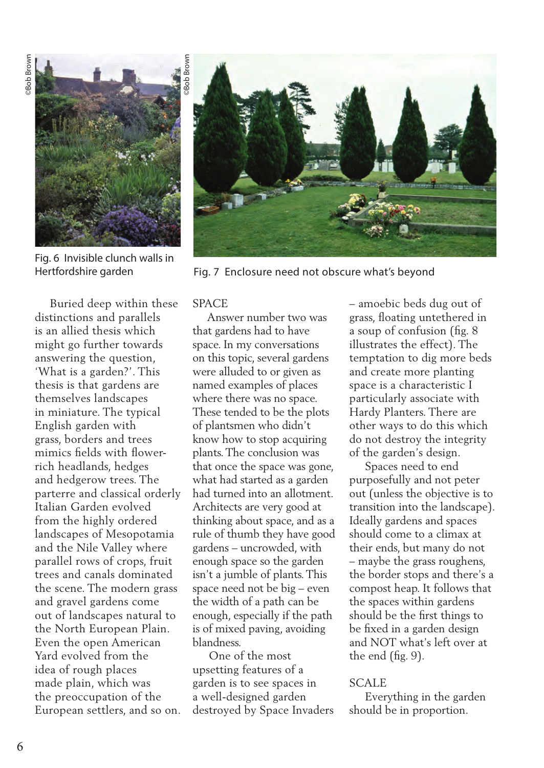

Fig. 6 Invisible clunch walls in Hertfordshire garden



Fig. 7 Enclosure need not obscure what's beyond

 Buried deep within these distinctions and parallels is an allied thesis which might go further towards answering the question, 'What is a garden?'. This thesis is that gardens are themselves landscapes in miniature. The typical English garden with grass, borders and trees mimics fields with flowerrich headlands, hedges and hedgerow trees. The parterre and classical orderly Italian Garden evolved from the highly ordered landscapes of Mesopotamia and the Nile Valley where parallel rows of crops, fruit trees and canals dominated the scene. The modern grass and gravel gardens come out of landscapes natural to the North European Plain. Even the open American Yard evolved from the idea of rough places made plain, which was the preoccupation of the European settlers, and so on.

### **SPACE**

 Answer number two was that gardens had to have space. In my conversations on this topic, several gardens were alluded to or given as named examples of places where there was no space. These tended to be the plots of plantsmen who didn't know how to stop acquiring plants. The conclusion was that once the space was gone, what had started as a garden had turned into an allotment. Architects are very good at thinking about space, and as a rule of thumb they have good gardens – uncrowded, with enough space so the garden isn't a jumble of plants. This space need not be big – even the width of a path can be enough, especially if the path is of mixed paving, avoiding blandness.

 One of the most upsetting features of a garden is to see spaces in a well-designed garden destroyed by Space Invaders – amoebic beds dug out of grass, floating untethered in a soup of confusion (fig. 8 illustrates the effect). The temptation to dig more beds and create more planting space is a characteristic I particularly associate with Hardy Planters. There are other ways to do this which do not destroy the integrity of the garden's design.

 Spaces need to end purposefully and not peter out (unless the objective is to transition into the landscape). Ideally gardens and spaces should come to a climax at their ends, but many do not – maybe the grass roughens, the border stops and there's a compost heap. It follows that the spaces within gardens should be the first things to be fixed in a garden design and NOT what's left over at the end (fig. 9).

#### **SCALE**

 Everything in the garden should be in proportion.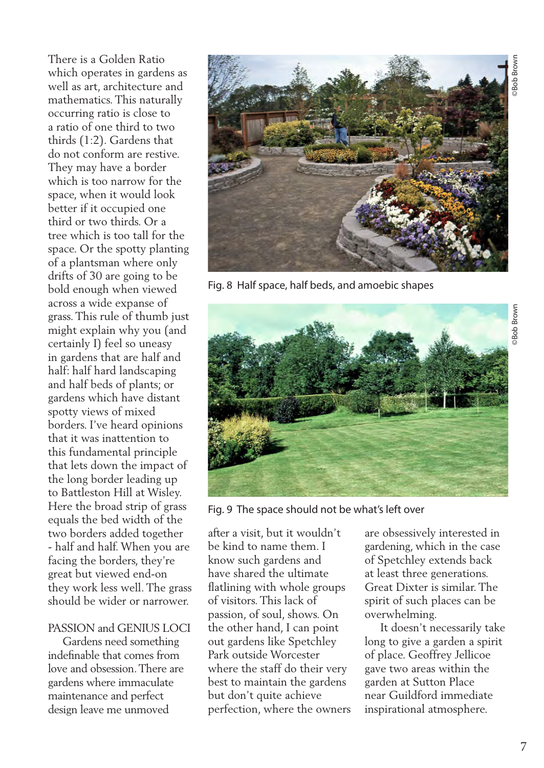©Bob Brown

There is a Golden Ratio which operates in gardens as well as art, architecture and mathematics. This naturally occurring ratio is close to a ratio of one third to two thirds (1:2). Gardens that do not conform are restive. They may have a border which is too narrow for the space, when it would look better if it occupied one third or two thirds. Or a tree which is too tall for the space. Or the spotty planting of a plantsman where only drifts of 30 are going to be bold enough when viewed across a wide expanse of grass. This rule of thumb just might explain why you (and certainly I) feel so uneasy in gardens that are half and half: half hard landscaping and half beds of plants; or gardens which have distant spotty views of mixed borders. I've heard opinions that it was inattention to this fundamental principle that lets down the impact of the long border leading up to Battleston Hill at Wisley. Here the broad strip of grass equals the bed width of the two borders added together - half and half. When you are facing the borders, they're great but viewed end-on they work less well. The grass should be wider or narrower.

## PASSION and GENIUS LOCI

 Gardens need something indefinable that comes from love and obsession. There are gardens where immaculate maintenance and perfect design leave me unmoved



Fig. 8 Half space, half beds, and amoebic shapes



Fig. 9 The space should not be what's left over

after a visit, but it wouldn't be kind to name them. I know such gardens and have shared the ultimate flatlining with whole groups of visitors. This lack of passion, of soul, shows. On the other hand, I can point out gardens like Spetchley Park outside Worcester where the staff do their very best to maintain the gardens but don't quite achieve perfection, where the owners

are obsessively interested in gardening, which in the case of Spetchley extends back at least three generations. Great Dixter is similar. The spirit of such places can be overwhelming.

 It doesn't necessarily take long to give a garden a spirit of place. Geoffrey Jellicoe gave two areas within the garden at Sutton Place near Guildford immediate inspirational atmosphere.